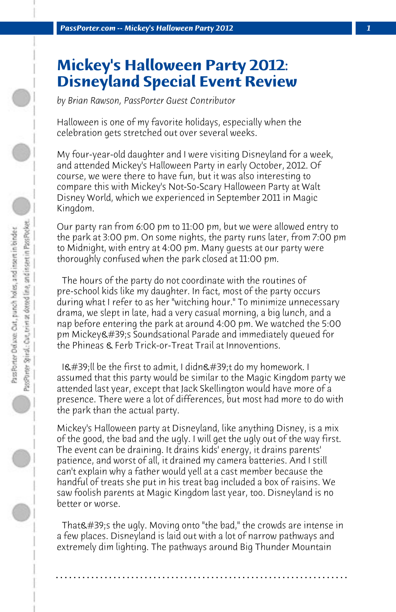## **Mickey's Halloween Party 2012: Disneyland Special Event Review**

*by Brian Rawson, PassPorter Guest Contributor*

Halloween is one of my favorite holidays, especially when the celebration gets stretched out over several weeks.

My four-year-old daughter and I were visiting Disneyland for a week, and attended Mickey's Halloween Party in early October, 2012. Of course, we were there to have fun, but it was also interesting to compare this with Mickey's Not-So-Scary Halloween Party at Walt Disney World, which we experienced in September 2011 in Magic Kingdom.

Our party ran from 6:00 pm to 11:00 pm, but we were allowed entry to the park at 3:00 pm. On some nights, the party runs later, from 7:00 pm to Midnight, with entry at 4:00 pm. Many guests at our party were thoroughly confused when the park closed at 11:00 pm.

 The hours of the party do not coordinate with the routines of pre-school kids like my daughter. In fact, most of the party occurs during what I refer to as her "witching hour." To minimize unnecessary drama, we slept in late, had a very casual morning, a big lunch, and a nap before entering the park at around 4:00 pm. We watched the 5:00 pm Mickey's Soundsational Parade and immediately queued for the Phineas & Ferb Trick-or-Treat Trail at Innoventions.

 $I\&\#39$ ; Il be the first to admit, I didn $\&\#39$ ; t do my homework. I assumed that this party would be similar to the Magic Kingdom party we attended last year, except that Jack Skellington would have more of a presence. There were a lot of differences, but most had more to do with the park than the actual party.

Mickey's Halloween party at Disneyland, like anything Disney, is a mix of the good, the bad and the ugly. I will get the ugly out of the way first. The event can be draining. It drains kids' energy, it drains parents' patience, and worst of all, it drained my camera batteries. And I still can't explain why a father would yell at a cast member because the handful of treats she put in his treat bag included a box of raisins. We saw foolish parents at Magic Kingdom last year, too. Disneyland is no better or worse.

That's the ugly. Moving onto "the bad," the crowds are intense in a few places. Disneyland is laid out with a lot of narrow pathways and extremely dim lighting. The pathways around Big Thunder Mountain

**. . . . . . . . . . . . . . . . . . . . . . . . . . . . . . . . . . . . . . . . . . . . . . . . . . . . . . . . . . . . . . . . . .**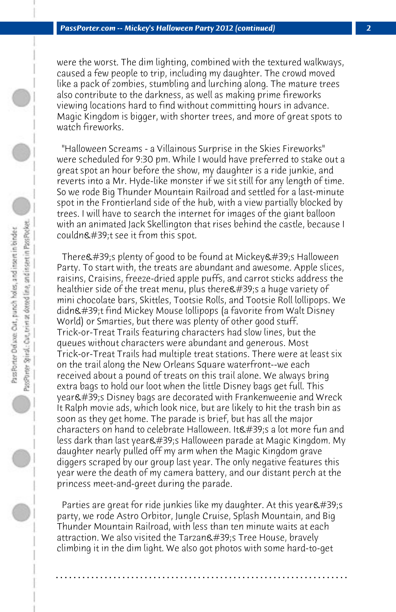were the worst. The dim lighting, combined with the textured walkways, caused a few people to trip, including my daughter. The crowd moved like a pack of zombies, stumbling and lurching along. The mature trees also contribute to the darkness, as well as making prime fireworks viewing locations hard to find without committing hours in advance. Magic Kingdom is bigger, with shorter trees, and more of great spots to watch fireworks.

 "Halloween Screams - a Villainous Surprise in the Skies Fireworks" were scheduled for 9:30 pm. While I would have preferred to stake out a great spot an hour before the show, my daughter is a ride junkie, and reverts into a Mr. Hyde-like monster if we sit still for any length of time. So we rode Big Thunder Mountain Railroad and settled for a last-minute spot in the Frontierland side of the hub, with a view partially blocked by trees. I will have to search the internet for images of the giant balloon with an animated Jack Skellington that rises behind the castle, because I couldn $\&\#39$ :t see it from this spot.

There  $\#39$ ; plenty of good to be found at Mickey  $\#39$ ; Halloween Party. To start with, the treats are abundant and awesome. Apple slices, raisins, Craisins, freeze-dried apple puffs, and carrot sticks address the healthier side of the treat menu, plus there 's a huge variety of mini chocolate bars, Skittles, Tootsie Rolls, and Tootsie Roll lollipops. We didn't find Mickey Mouse lollipops (a favorite from Walt Disney World) or Smarties, but there was plenty of other good stuff. Trick-or-Treat Trails featuring characters had slow lines, but the queues without characters were abundant and generous. Most Trick-or-Treat Trails had multiple treat stations. There were at least six on the trail along the New Orleans Square waterfront--we each received about a pound of treats on this trail alone. We always bring extra bags to hold our loot when the little Disney bags get full. This year's Disney bags are decorated with Frankenweenie and Wreck It Ralph movie ads, which look nice, but are likely to hit the trash bin as soon as they get home. The parade is brief, but has all the major characters on hand to celebrate Halloween. It's a lot more fun and less dark than last year&#39:s Halloween parade at Magic Kingdom. My daughter nearly pulled off my arm when the Magic Kingdom grave diggers scraped by our group last year. The only negative features this year were the death of my camera battery, and our distant perch at the princess meet-and-greet during the parade.

Parties are great for ride junkies like my daughter. At this year  $\&\#39$ ; s party, we rode Astro Orbitor, Jungle Cruise, Splash Mountain, and Big Thunder Mountain Railroad, with less than ten minute waits at each attraction. We also visited the Tarzan's Tree House, bravely climbing it in the dim light. We also got photos with some hard-to-get

**. . . . . . . . . . . . . . . . . . . . . . . . . . . . . . . . . . . . . . . . . . . . . . . . . . . . . . . . . . . . . . . . . .**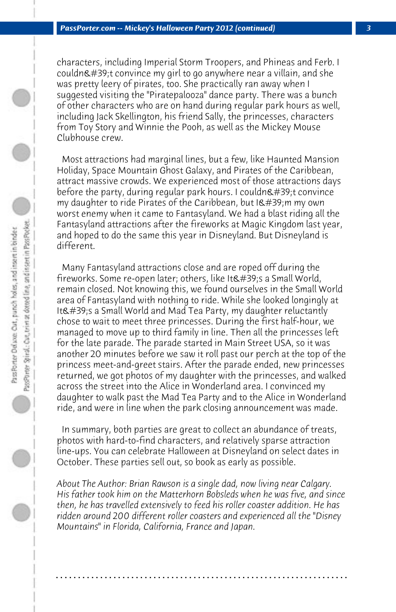characters, including Imperial Storm Troopers, and Phineas and Ferb. I couldn $\&\#39$ ;t convince my girl to go anywhere near a villain, and she was pretty leery of pirates, too. She practically ran away when I suggested visiting the "Piratepalooza" dance party. There was a bunch of other characters who are on hand during regular park hours as well, including Jack Skellington, his friend Sally, the princesses, characters from Toy Story and Winnie the Pooh, as well as the Mickey Mouse Clubhouse crew.

 Most attractions had marginal lines, but a few, like Haunted Mansion Holiday, Space Mountain Ghost Galaxy, and Pirates of the Caribbean, attract massive crowds. We experienced most of those attractions days before the party, during regular park hours. I couldn $\&$ #39;t convince my daughter to ride Pirates of the Caribbean, but  $I\&\#39$ ; m my own worst enemy when it came to Fantasyland. We had a blast riding all the Fantasyland attractions after the fireworks at Magic Kingdom last year, and hoped to do the same this year in Disneyland. But Disneyland is different.

 Many Fantasyland attractions close and are roped off during the fireworks. Some re-open later; others, like It's a Small World, remain closed. Not knowing this, we found ourselves in the Small World area of Fantasyland with nothing to ride. While she looked longingly at It's a Small World and Mad Tea Party, my daughter reluctantly chose to wait to meet three princesses. During the first half-hour, we managed to move up to third family in line. Then all the princesses left for the late parade. The parade started in Main Street USA, so it was another 20 minutes before we saw it roll past our perch at the top of the princess meet-and-greet stairs. After the parade ended, new princesses returned, we got photos of my daughter with the princesses, and walked across the street into the Alice in Wonderland area. I convinced my daughter to walk past the Mad Tea Party and to the Alice in Wonderland ride, and were in line when the park closing announcement was made.

 In summary, both parties are great to collect an abundance of treats, photos with hard-to-find characters, and relatively sparse attraction line-ups. You can celebrate Halloween at Disneyland on select dates in October. These parties sell out, so book as early as possible.

*About The Author: Brian Rawson is a single dad, now living near Calgary. His father took him on the Matterhorn Bobsleds when he was five, and since then, he has travelled extensively to feed his roller coaster addition. He has ridden around 200 different roller coasters and experienced all the "Disney Mountains" in Florida, California, France and Japan.*

**. . . . . . . . . . . . . . . . . . . . . . . . . . . . . . . . . . . . . . . . . . . . . . . . . . . . . . . . . . . . . . . . . .**